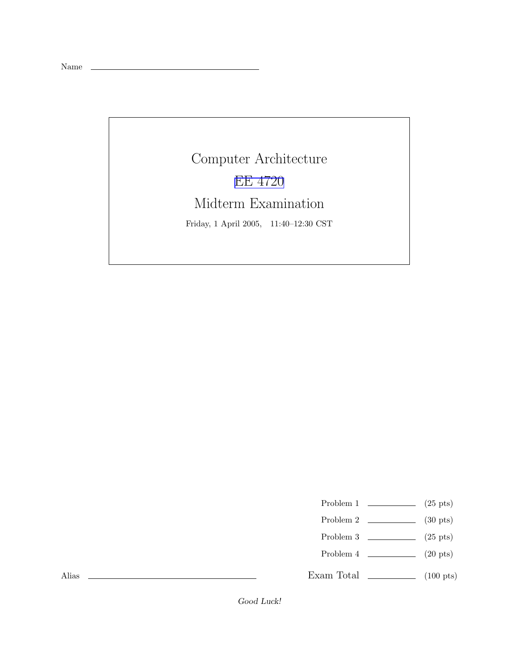Name

Computer Architecture EE [4720](http://www.ece.lsu.edu/ee4720/) Midterm Examination Friday, 1 April 2005, 11:40–12:30 CST

Problem 1  $\qquad \qquad$  (25 pts)

- Problem 2  $\qquad \qquad$  (30 pts)
- Problem 3  $\qquad \qquad$  (25 pts)
- Problem 4  $\qquad \qquad (20 \text{ pts})$

Exam Total  $\qquad \qquad$  (100 pts)

Alias

Good Luck!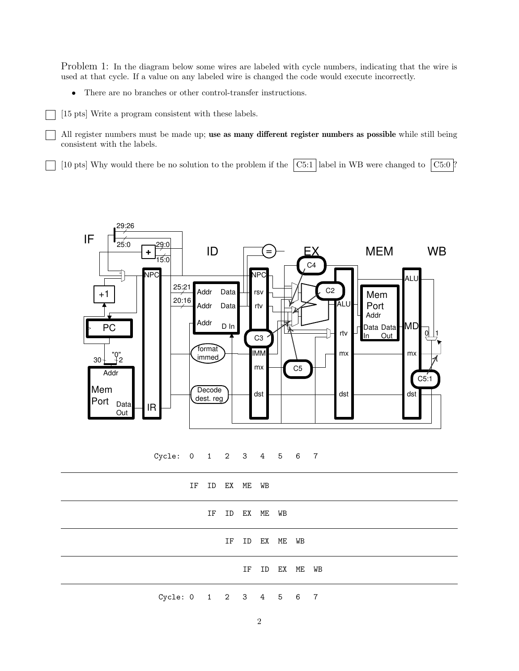Problem 1: In the diagram below some wires are labeled with cycle numbers, indicating that the wire is used at that cycle. If a value on any labeled wire is changed the code would execute incorrectly.

• There are no branches or other control-transfer instructions.

[15 pts] Write a program consistent with these labels.

All register numbers must be made up; use as many different register numbers as possible while still being consistent with the labels.

[10 pts] Why would there be no solution to the problem if the  $\boxed{C5:1}$  label in WB were changed to  $\boxed{C5:0}$ ?



Cycle: 0 1 2 3 4 5 6 7

|                        | IF ID EX ME WB |                |                |  |                |  |
|------------------------|----------------|----------------|----------------|--|----------------|--|
|                        |                | IF ID EX ME WB |                |  |                |  |
|                        |                |                | IF ID EX ME WB |  |                |  |
|                        |                |                |                |  | IF ID EX ME WB |  |
| Cycle: 0 1 2 3 4 5 6 7 |                |                |                |  |                |  |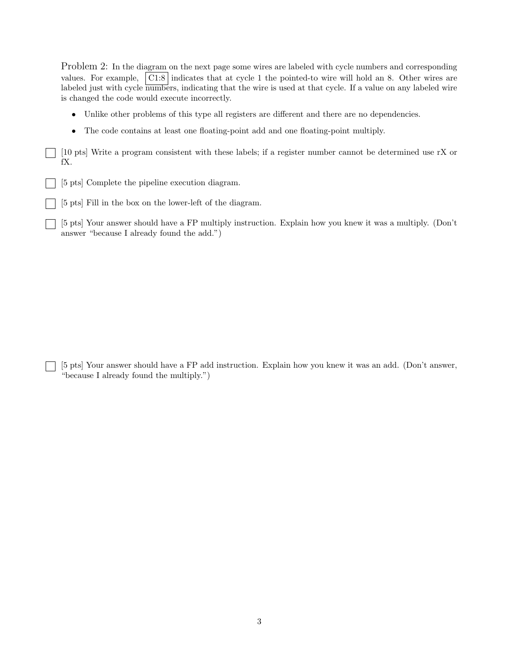Problem 2: In the diagram on the next page some wires are labeled with cycle numbers and corresponding values. For example,  $\vert$  C1:8 indicates that at cycle 1 the pointed-to wire will hold an 8. Other wires are labeled just with cycle numbers, indicating that the wire is used at that cycle. If a value on any labeled wire is changed the code would execute incorrectly.

- Unlike other problems of this type all registers are different and there are no dependencies.
- The code contains at least one floating-point add and one floating-point multiply.

[10 pts] Write a program consistent with these labels; if a register number cannot be determined use rX or fX.

- [5 pts] Complete the pipeline execution diagram.
- [5 pts] Fill in the box on the lower-left of the diagram.

[5 pts] Your answer should have a FP multiply instruction. Explain how you knew it was a multiply. (Don't answer "because I already found the add.")

[5 pts] Your answer should have a FP add instruction. Explain how you knew it was an add. (Don't answer, "because I already found the multiply.")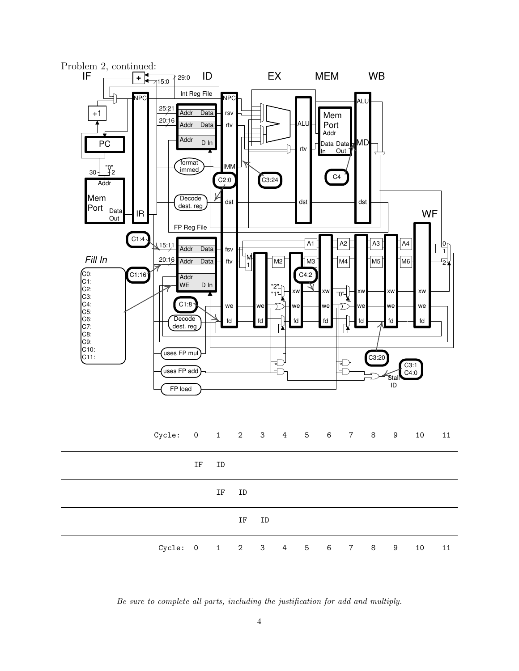

Be sure to complete all parts, including the justification for add and multiply.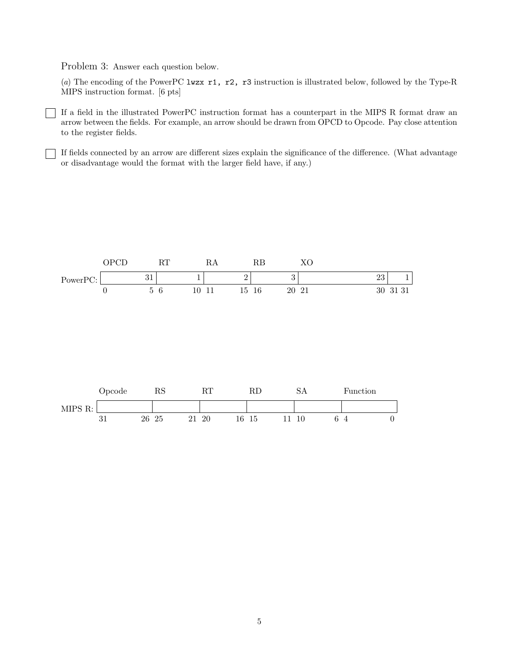Problem 3: Answer each question below.

 $\overline{\phantom{a}}$ 

(a) The encoding of the PowerPC lwzx r1, r2, r3 instruction is illustrated below, followed by the Type-R MIPS instruction format. [6 pts]

If a field in the illustrated PowerPC instruction format has a counterpart in the MIPS R format draw an arrow between the fields. For example, an arrow should be drawn from OPCD to Opcode. Pay close attention to the register fields.

If fields connected by an arrow are different sizes explain the significance of the difference. (What advantage or disadvantage would the format with the larger field have, if any.)



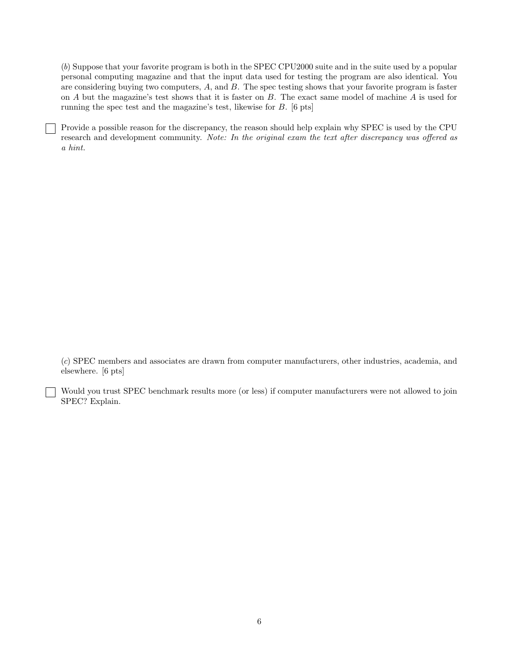(b) Suppose that your favorite program is both in the SPEC CPU2000 suite and in the suite used by a popular personal computing magazine and that the input data used for testing the program are also identical. You are considering buying two computers, A, and B. The spec testing shows that your favorite program is faster on A but the magazine's test shows that it is faster on B. The exact same model of machine A is used for running the spec test and the magazine's test, likewise for B. [6 pts]

Provide a possible reason for the discrepancy, the reason should help explain why SPEC is used by the CPU research and development community. Note: In the original exam the text after discrepancy was offered as a hint.

(c) SPEC members and associates are drawn from computer manufacturers, other industries, academia, and elsewhere. [6 pts]

Would you trust SPEC benchmark results more (or less) if computer manufacturers were not allowed to join SPEC? Explain.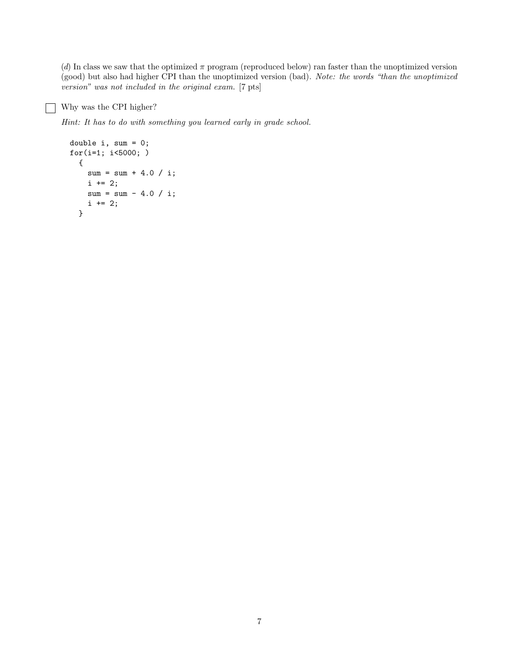(d) In class we saw that the optimized  $\pi$  program (reproduced below) ran faster than the unoptimized version (good) but also had higher CPI than the unoptimized version (bad). Note: the words "than the unoptimized version" was not included in the original exam. [7 pts]

## Why was the CPI higher?

Hint: It has to do with something you learned early in grade school.

```
double i, sum = 0;
for(i=1; i<5000; )
  {
   sum = sum + 4.0 / i;i += 2;
   sum = sum - 4.0 / i;i += 2;
  }
```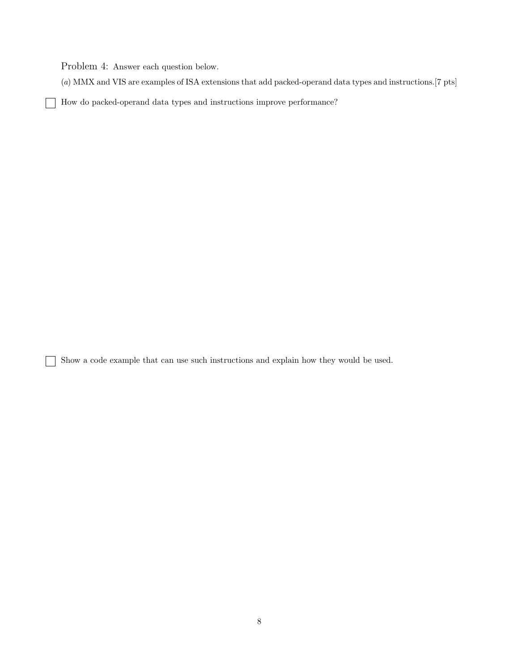Problem 4: Answer each question below.

 $\mathsf{l}$  $\overline{\phantom{a}}$ 

Г ٦ (a) MMX and VIS are examples of ISA extensions that add packed-operand data types and instructions.[7 pts]

How do packed-operand data types and instructions improve performance?

Show a code example that can use such instructions and explain how they would be used.